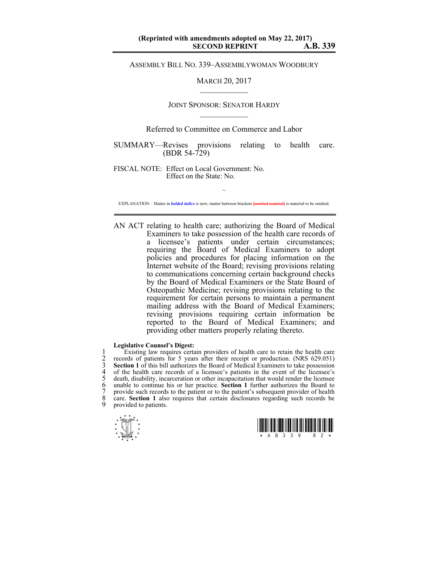ASSEMBLY BILL NO. 339–ASSEMBLYWOMAN WOODBURY

MARCH 20, 2017  $\mathcal{L}_\text{max}$ 

## JOINT SPONSOR: SENATOR HARDY  $\mathcal{L}_\text{max}$

## Referred to Committee on Commerce and Labor

SUMMARY—Revises provisions relating to health care. (BDR 54-729)

FISCAL NOTE: Effect on Local Government: No. Effect on the State: No.

~ EXPLANATION – Matter in *bolded italics* is new; matter between brackets **[**omitted material**]** is material to be omitted.

AN ACT relating to health care; authorizing the Board of Medical Examiners to take possession of the health care records of a licensee's patients under certain circumstances; requiring the Board of Medical Examiners to adopt policies and procedures for placing information on the Internet website of the Board; revising provisions relating to communications concerning certain background checks by the Board of Medical Examiners or the State Board of Osteopathic Medicine; revising provisions relating to the requirement for certain persons to maintain a permanent mailing address with the Board of Medical Examiners; revising provisions requiring certain information be reported to the Board of Medical Examiners; and providing other matters properly relating thereto.

## **Legislative Counsel's Digest:**

1 Existing law requires certain providers of health care to retain the health care<br>
2 records of patients for 5 years after their receipt or production. (NRS 629.051)<br>
3 **Section 1** of this bill authorizes the Board of Med records of patients for 5 years after their receipt or production. (NRS 629.051) Section 1 of this bill authorizes the Board of Medical Examiners to take possession of the health care records of a licensee's patients in the event of the licensee's 5 death, disability, incarceration or other incapacitation that would render the licensee unable to continue his or her practice. **Section 1** further authorizes the Board to 7 provide such records to the patient or to the patient's subsequent provider of health 8 care. **Section 1** also requires that certain disclosures regarding such records be provided to patients.



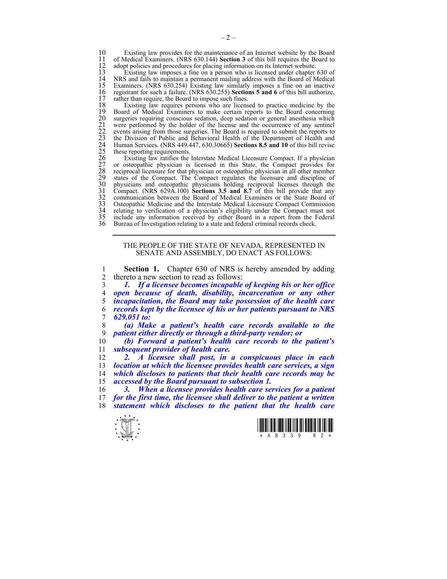10 Existing law provides for the maintenance of an Internet website by the Board<br>11 of Medical Examiners. (NRS 630.144) Section 3 of this bill requires the Board to 11 of Medical Examiners. (NRS 630.144) **Section 3** of this bill requires the Board to 12 adopt policies and procedures for placing information on its Internet website.<br>13 Existing law imposes a fine on a person who is licensed under chapter

13 Existing law imposes a fine on a person who is licensed under chapter 630 of 14 NRS and fails to maintain a permanent mailing address with the Board of Medical 15 Examiners. (NRS 630.254) Existing law similarly imposes a fine on an inactive registrant for such a failure. (NRS 630.255) Sections 5 and 6 of this bill authorize, 16 registrant for such a failure. (NRS 630.255) **Sections 5 and 6** of this bill authorize, 17 rather than require, the Board to impose such fines.<br>18 Existing law requires persons who are licens

18 Existing law requires persons who are licensed to practice medicine by the 19 Board of Medical Examiners to make certain reports to the Board concerning surgeries requiring conscious sedation, deep sedation or general anesthesia which were performed by the holder of the license and the occurrence of any sentinel events arising from those surgeries. The Board is required to submit the reports to 23 the Division of Public and Behavioral Health of the Department of Health and 24 Human Services. (NRS 449.447, 630.30665) **Sections 8.5 and 10** of this bill revise these reporting requirements.

19 Board of Medical Examiners to make certain reports to the Board concerning<br>20 surgeries requiring conscious sedation, deep sedation or general anesthesia which<br>21 were performed by the holder of the license and the occu Existing law ratifies the Interstate Medical Licensure Compact. If a physician 27 or osteopathic physician is licensed in this State, the Compact provides for 28 reciprocal licensure for that physician or osteopathic physician in all other member 29 states of the Compact. The Compact regulates the licensure and discipline of physicians and osteopathic physicians holding reciprocal licenses through the 31 Compact. (NRS 629A.100) **Sections 3.5 and 8.7** of this bill provide that any 32 communication between the Board of Medical Examiners or the State Board of 33 Osteopathic Medicine and the Interstate Medical Licensure Compact Commission 34 relating to verification of a physician's eligibility under the Compact must not 35 include any information received by either Board in a report from the Federal Bureau of Investigation relating to a state and federal criminal records check.

> THE PEOPLE OF THE STATE OF NEVADA, REPRESENTED IN SENATE AND ASSEMBLY, DO ENACT AS FOLLOWS:

1 **Section 1.** Chapter 630 of NRS is hereby amended by adding 2 thereto a new section to read as follows:<br>3 1. If a licensee becomes incapable

*1. If a licensee becomes incapable of keeping his or her office open because of death, disability, incarceration or any other incapacitation, the Board may take possession of the health care records kept by the licensee of his or her patients pursuant to NRS 629.051 to:* 

8 *(a) Make a patient's health care records available to the*  9 *patient either directly or through a third-party vendor; or* 

10 *(b) Forward a patient's health care records to the patient's*  11 *subsequent provider of health care.* 

*2. A licensee shall post, in a conspicuous place in each location at which the licensee provides health care services, a sign which discloses to patients that their health care records may be accessed by the Board pursuant to subsection 1.* 

16 *3. When a licensee provides health care services for a patient*  17 *for the first time, the licensee shall deliver to the patient a written*  18 *statement which discloses to the patient that the health care* 



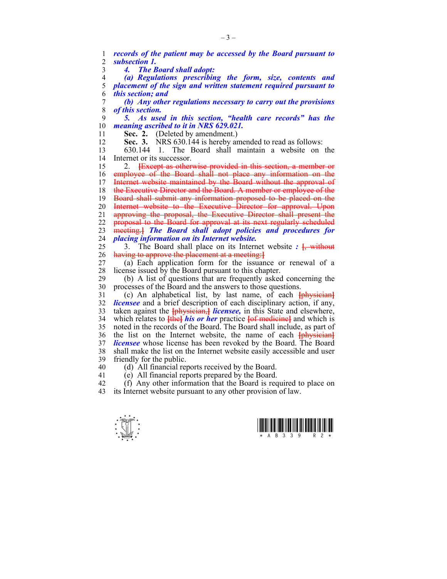1 *records of the patient may be accessed by the Board pursuant to*  2 *subsection 1.*  3 *4. The Board shall adopt:*  4 *(a) Regulations prescribing the form, size, contents and*  5 *placement of the sign and written statement required pursuant to*  6 *this section; and*  7 *(b) Any other regulations necessary to carry out the provisions*  8 *of this section.*  9 *5. As used in this section, "health care records" has the*  10 *meaning ascribed to it in NRS 629.021.*  11 **Sec. 2.** (Deleted by amendment.) 12 **Sec. 3.** NRS 630.144 is hereby amended to read as follows: 13 630.144 1. The Board shall maintain a website on the 14 Internet or its successor. 15 2. **[**Except as otherwise provided in this section, a member or 16 employee of the Board shall not place any information on the 17 Internet website maintained by the Board without the approval of 18 the Executive Director and the Board. A member or employee of the 19 Board shall submit any information proposed to be placed on the 20 Internet website to the Executive Director for approval. Upon 21 approving the proposal, the Executive Director shall present the 22 proposal to the Board for approval at its next regularly scheduled 23 meeting.**]** *The Board shall adopt policies and procedures for*  24 *placing information on its Internet website.* 25 3. The Board shall place on its Internet website *:* **[**, without 26 having to approve the placement at a meeting:**]** 27 (a) Each application form for the issuance or renewal of a 28 license issued by the Board pursuant to this chapter. 29 (b) A list of questions that are frequently asked concerning the 30 processes of the Board and the answers to those questions. 31 (c) An alphabetical list, by last name, of each **[**physician**]** 32 *licensee* and a brief description of each disciplinary action, if any, 33 taken against the **[**physician,**]** *licensee,* in this State and elsewhere, 34 which relates to **[**the**]** *his or her* practice **[**of medicine**]** and which is 35 noted in the records of the Board. The Board shall include, as part of 36 the list on the Internet website, the name of each **[**physician**]** 37 *licensee* whose license has been revoked by the Board. The Board 38 shall make the list on the Internet website easily accessible and user 39 friendly for the public. 40 (d) All financial reports received by the Board. 41 (e) All financial reports prepared by the Board.

42 (f) Any other information that the Board is required to place on 43 its Internet website pursuant to any other provision of law.

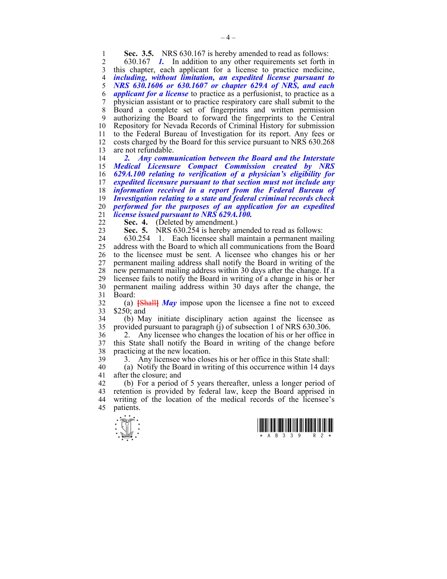**Sec. 3.5.** NRS 630.167 is hereby amended to read as follows:<br>2 630.167 *L* In addition to any other requirements set forth is

2 630.167 *1.* In addition to any other requirements set forth in 3 this chapter, each applicant for a license to practice medicine, 4 *including, without limitation, an expedited license pursuant to*  5 *NRS 630.1606 or 630.1607 or chapter 629A of NRS, and each*  6 *applicant for a license* to practice as a perfusionist, to practice as a 7 physician assistant or to practice respiratory care shall submit to the 8 Board a complete set of fingerprints and written permission 9 authorizing the Board to forward the fingerprints to the Central 10 Repository for Nevada Records of Criminal History for submission 11 to the Federal Bureau of Investigation for its report. Any fees or 12 costs charged by the Board for this service pursuant to NRS 630.268 13 are not refundable.

*2. Any communication between the Board and the Interstate Medical Licensure Compact Commission created by NRS 629A.100 relating to verification of a physician's eligibility for expedited licensure pursuant to that section must not include any information received in a report from the Federal Bureau of Investigation relating to a state and federal criminal records check performed for the purposes of an application for an expedited license issued pursuant to NRS 629A.100.* 

22 **Sec. 4.** (Deleted by amendment.)

23 **Sec. 5.** NRS 630.254 is hereby amended to read as follows:

24 630.254 1. Each licensee shall maintain a permanent mailing 25 address with the Board to which all communications from the Board 26 to the licensee must be sent. A licensee who changes his or her 27 permanent mailing address shall notify the Board in writing of the 28 new permanent mailing address within 30 days after the change. If a 29 licensee fails to notify the Board in writing of a change in his or her 30 permanent mailing address within 30 days after the change, the 31 Board:

32 (a) **[**Shall**]** *May* impose upon the licensee a fine not to exceed 33 \$250; and

34 (b) May initiate disciplinary action against the licensee as 35 provided pursuant to paragraph (i) of subsection 1 of NRS  $630.306$ . 35 provided pursuant to paragraph (j) of subsection 1 of NRS 630.306.

36 2. Any licensee who changes the location of his or her office in 37 this State shall notify the Board in writing of the change before 38 practicing at the new location.

39 3. Any licensee who closes his or her office in this State shall:

40 (a) Notify the Board in writing of this occurrence within 14 days 41 after the closure; and

42 (b) For a period of 5 years thereafter, unless a longer period of 43 retention is provided by federal law, keep the Board apprised in 44 writing of the location of the medical records of the licensee's 45 patients.



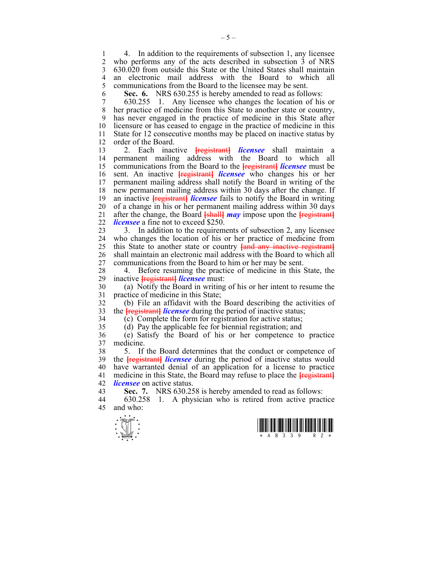1 4. In addition to the requirements of subsection 1, any licensee<br>2 who performs any of the acts described in subsection 3 of NRS who performs any of the acts described in subsection 3 of NRS 3 630.020 from outside this State or the United States shall maintain 4 an electronic mail address with the Board to which all 5 communications from the Board to the licensee may be sent. 5 communications from the Board to the licensee may be sent.

6 **Sec. 6.** NRS 630.255 is hereby amended to read as follows:

7 630.255 1. Any licensee who changes the location of his or 8 her practice of medicine from this State to another state or country, 9 has never engaged in the practice of medicine in this State after 10 licensure or has ceased to engage in the practice of medicine in this 11 State for 12 consecutive months may be placed on inactive status by 12 order of the Board.

13 2. Each inactive **[**registrant**]** *licensee* shall maintain a 14 permanent mailing address with the Board to which all 15 communications from the Board to the **[**registrant**]** *licensee* must be 16 sent. An inactive **[**registrant**]** *licensee* who changes his or her 17 permanent mailing address shall notify the Board in writing of the 18 new permanent mailing address within 30 days after the change. If 19 an inactive **[registrant]** *licensee* fails to notify the Board in writing 20 of a change in his or her permanent mailing address within 30 days 21 after the change, the Board **[**shall**]** *may* impose upon the **[**registrant**]** 22 *licensee* a fine not to exceed \$250.

23 3. In addition to the requirements of subsection 2, any licensee 24 who changes the location of his or her practice of medicine from 25 this State to another state or country **[**and any inactive registrant**]** 26 shall maintain an electronic mail address with the Board to which all 27 communications from the Board to him or her may be sent.

28 4. Before resuming the practice of medicine in this State, the inactive **tregistrantl licensee** must: 29 inactive **[**registrant**]** *licensee* must:

30 (a) Notify the Board in writing of his or her intent to resume the 31 practice of medicine in this State;

32 (b) File an affidavit with the Board describing the activities of 33 the **[**registrant**]** *licensee* during the period of inactive status;

34 (c) Complete the form for registration for active status;

35 (d) Pay the applicable fee for biennial registration; and

36 (e) Satisfy the Board of his or her competence to practice 37 medicine.

38 5. If the Board determines that the conduct or competence of 39 the **[**registrant**]** *licensee* during the period of inactive status would 40 have warranted denial of an application for a license to practice 41 medicine in this State, the Board may refuse to place the **[**registrant**]** 42 *licensee* on active status.

43 **Sec. 7.** NRS 630.258 is hereby amended to read as follows:

44 630.258 1. A physician who is retired from active practice 45 and who:



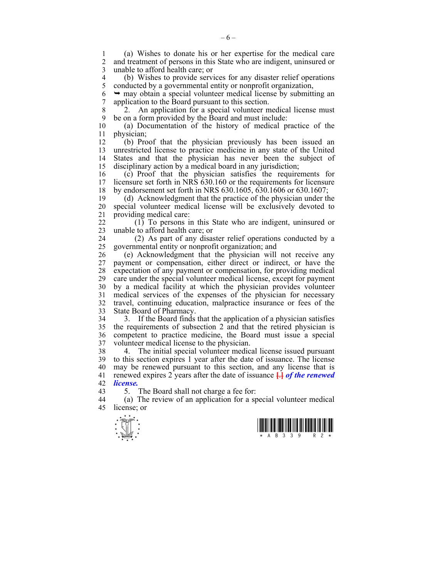1 (a) Wishes to donate his or her expertise for the medical care 2 and treatment of persons in this State who are indigent, uninsured or 3 unable to afford health care; or

4 (b) Wishes to provide services for any disaster relief operations<br>5 conducted by a governmental entity or nonprofit organization. 5 conducted by a governmental entity or nonprofit organization,

 $6 \rightarrow$  may obtain a special volunteer medical license by submitting an 7 application to the Board pursuant to this section.

8 2. An application for a special volunteer medical license must 9 be on a form provided by the Board and must include:

10 (a) Documentation of the history of medical practice of the 11 physician;

12 (b) Proof that the physician previously has been issued an 13 unrestricted license to practice medicine in any state of the United 14 States and that the physician has never been the subject of 15 disciplinary action by a medical board in any jurisdiction;

16 (c) Proof that the physician satisfies the requirements for 17 licensure set forth in NRS 630.160 or the requirements for licensure 18 by endorsement set forth in NRS 630.1605, 630.1606 or 630.1607;

19 (d) Acknowledgment that the practice of the physician under the 20 special volunteer medical license will be exclusively devoted to 21 providing medical care:

22 (1) To persons in this State who are indigent, uninsured or 23 unable to afford health care; or

24 (2) As part of any disaster relief operations conducted by a 25 governmental entity or nonprofit organization; and

26 (e) Acknowledgment that the physician will not receive any 27 payment or compensation, either direct or indirect, or have the 28 expectation of any payment or compensation, for providing medical 29 care under the special volunteer medical license, except for payment 30 by a medical facility at which the physician provides volunteer 31 medical services of the expenses of the physician for necessary 32 travel, continuing education, malpractice insurance or fees of the 33 State Board of Pharmacy.

34 3. If the Board finds that the application of a physician satisfies 35 the requirements of subsection 2 and that the retired physician is 36 competent to practice medicine, the Board must issue a special 37 volunteer medical license to the physician.

38 4. The initial special volunteer medical license issued pursuant 39 to this section expires 1 year after the date of issuance. The license 40 may be renewed pursuant to this section, and any license that is 41 renewed expires 2 years after the date of issuance **[**.**]** *of the renewed*  42 *license.*

43 5. The Board shall not charge a fee for:

44 (a) The review of an application for a special volunteer medical 45 license; or



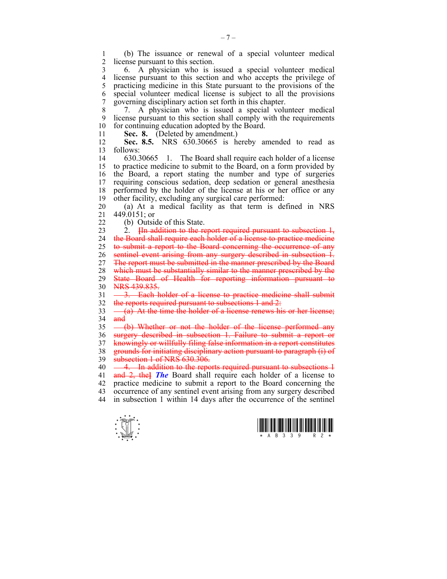1 (b) The issuance or renewal of a special volunteer medical license pursuant to this section.

3 6. A physician who is issued a special volunteer medical 4 license pursuant to this section and who accepts the privilege of practicing medicine in this State pursuant to the provisions of the practicing medicine in this State pursuant to the provisions of the 6 special volunteer medical license is subject to all the provisions 7 governing disciplinary action set forth in this chapter.

8 7. A physician who is issued a special volunteer medical 9 license pursuant to this section shall comply with the requirements 10 for continuing education adopted by the Board.

11 **Sec. 8.** (Deleted by amendment.)

12 **Sec. 8.5.** NRS 630.30665 is hereby amended to read as 13 follows:

14 630.30665 1. The Board shall require each holder of a license 15 to practice medicine to submit to the Board, on a form provided by 16 the Board, a report stating the number and type of surgeries 17 requiring conscious sedation, deep sedation or general anesthesia 18 performed by the holder of the license at his or her office or any 19 other facility, excluding any surgical care performed:

20 (a) At a medical facility as that term is defined in NRS 21 449.0151; or

22 (b) Outside of this State.

23 2. **[**In addition to the report required pursuant to subsection 1, 24 the Board shall require each holder of a license to practice medicine 25 to submit a report to the Board concerning the occurrence of any 26 sentinel event arising from any surgery described in subsection 1. 27 The report must be submitted in the manner prescribed by the Board 28 which must be substantially similar to the manner prescribed by the 29 State Board of Health for reporting information pursuant to 30 NRS 439.835. 31 - 3. Each holder of a license to practice medicine shall submit

32 the reports required pursuant to subsections 1 and 2:

33  $\left(-\frac{a}{a}\right)$  At the time the holder of a license renews his or her license;  $34$  and

35 (b) Whether or not the holder of the license performed any 36 surgery described in subsection 1. Failure to submit a report or 37 knowingly or willfully filing false information in a report constitutes 38 grounds for initiating disciplinary action pursuant to paragraph (i) of 39 subsection 1 of NRS 630.306.

40 - 4. In addition to the reports required pursuant to subsections 1 41 and 2, the**]** *The* Board shall require each holder of a license to 42 practice medicine to submit a report to the Board concerning the 43 occurrence of any sentinel event arising from any surgery described 44 in subsection 1 within 14 days after the occurrence of the sentinel



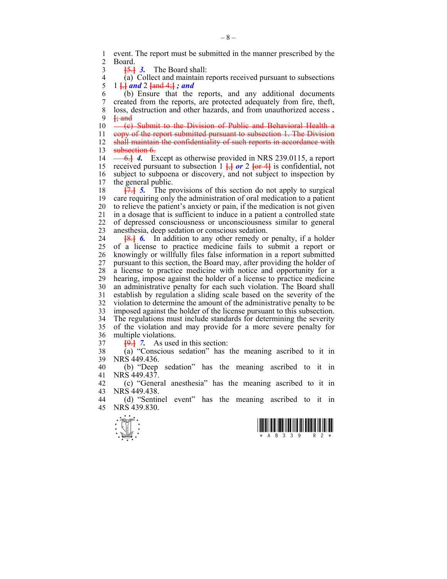1 event. The report must be submitted in the manner prescribed by the 2 Board **Board** 

3 **[**5.**]** *3.* The Board shall:

4 (a) Collect and maintain reports received pursuant to subsections<br>5 1 <del>L and</del> 2 <del>land 4 l</del> ; and 5 1 **[**,**]** *and* 2 **[**and 4;**]** *; and*

6 (b) Ensure that the reports, and any additional documents 7 created from the reports, are protected adequately from fire, theft, 8 loss, destruction and other hazards, and from unauthorized access *.* 9 **[**; and

 $10 \leftarrow (c)$  Submit to the Division of Public and Behavioral Health a

11 copy of the report submitted pursuant to subsection 1. The Division 12 shall maintain the confidentiality of such reports in accordance with 13 subsection 6.

14 <del>6.</del> 4. Except as otherwise provided in NRS 239.0115, a report 15 received pursuant to subsection  $1 \frac{1}{2}$  or  $2 \frac{1}{2}$  is confidential, not 16 subject to subpoena or discovery, and not subject to inspection by the general public. the general public.

18 **[**7.**]** *5.* The provisions of this section do not apply to surgical 19 care requiring only the administration of oral medication to a patient 20 to relieve the patient's anxiety or pain, if the medication is not given 21 in a dosage that is sufficient to induce in a patient a controlled state 22 of depressed consciousness or unconsciousness similar to general 23 anesthesia, deep sedation or conscious sedation.

24 **[**8.**]** *6.* In addition to any other remedy or penalty, if a holder 25 of a license to practice medicine fails to submit a report or 26 knowingly or willfully files false information in a report submitted 27 pursuant to this section, the Board may, after providing the holder of 28 a license to practice medicine with notice and opportunity for a 29 hearing, impose against the holder of a license to practice medicine 30 an administrative penalty for each such violation. The Board shall 31 establish by regulation a sliding scale based on the severity of the 32 violation to determine the amount of the administrative penalty to be 33 imposed against the holder of the license pursuant to this subsection. 34 The regulations must include standards for determining the severity 35 of the violation and may provide for a more severe penalty for 36 multiple violations.

 $\frac{19.1}{7}$  *7.* As used in this section:

38 (a) "Conscious sedation" has the meaning ascribed to it in 39 NRS 449.436.

40 (b) "Deep sedation" has the meaning ascribed to it in 41 NRS 449.437.

42 (c) "General anesthesia" has the meaning ascribed to it in  $\overline{MS}$  NRS 449.438 NRS 449.438.

44 (d) "Sentinel event" has the meaning ascribed to it in 45 NRS 439.830.



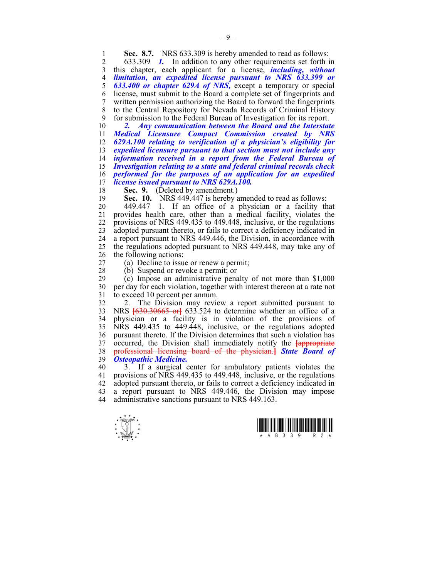**Sec. 8.7.** NRS 633.309 is hereby amended to read as follows:<br>2 633.309 *L* In addition to any other requirements set forth is

2 633.309 *1.* In addition to any other requirements set forth in 3 this chapter, each applicant for a license, *including, without*  4 *limitation, an expedited license pursuant to NRS 633.399 or*  5 *633.400 or chapter 629A of NRS,* except a temporary or special 6 license, must submit to the Board a complete set of fingerprints and 7 written permission authorizing the Board to forward the fingerprints 8 to the Central Repository for Nevada Records of Criminal History 9 for submission to the Federal Bureau of Investigation for its report.

*2. Any communication between the Board and the Interstate Medical Licensure Compact Commission created by NRS 629A.100 relating to verification of a physician's eligibility for expedited licensure pursuant to that section must not include any information received in a report from the Federal Bureau of Investigation relating to a state and federal criminal records check performed for the purposes of an application for an expedited license issued pursuant to NRS 629A.100.* 

18 **Sec. 9.** (Deleted by amendment.)

19 **Sec. 10.** NRS 449.447 is hereby amended to read as follows:

20 449.447 1. If an office of a physician or a facility that 21 provides health care, other than a medical facility, violates the 22 provisions of NRS 449.435 to 449.448, inclusive, or the regulations 23 adopted pursuant thereto, or fails to correct a deficiency indicated in 24 a report pursuant to NRS 449.446, the Division, in accordance with 25 the regulations adopted pursuant to NRS 449.448, may take any of 26 the following actions:

27 (a) Decline to issue or renew a permit;

28 (b) Suspend or revoke a permit; or<br>29 (c) Impose an administrative pena  $\alpha$ ) Impose an administrative penalty of not more than \$1,000 30 per day for each violation, together with interest thereon at a rate not 31 to exceed 10 percent per annum.

32 2. The Division may review a report submitted pursuant to 33 NRS **[**630.30665 or**]** 633.524 to determine whether an office of a 34 physician or a facility is in violation of the provisions of 35 NRS 449.435 to 449.448, inclusive, or the regulations adopted 36 pursuant thereto. If the Division determines that such a violation has 37 occurred, the Division shall immediately notify the **[appropriate** 38 professional licensing board of the physician.] State Board of 38 professional licensing board of the physician.**]** *State Board of*  39 *Osteopathic Medicine.*

40 3. If a surgical center for ambulatory patients violates the 41 provisions of NRS 449.435 to 449.448, inclusive, or the regulations 42 adopted pursuant thereto, or fails to correct a deficiency indicated in 43 a report pursuant to NRS 449.446, the Division may impose 44 administrative sanctions pursuant to NRS 449.163.